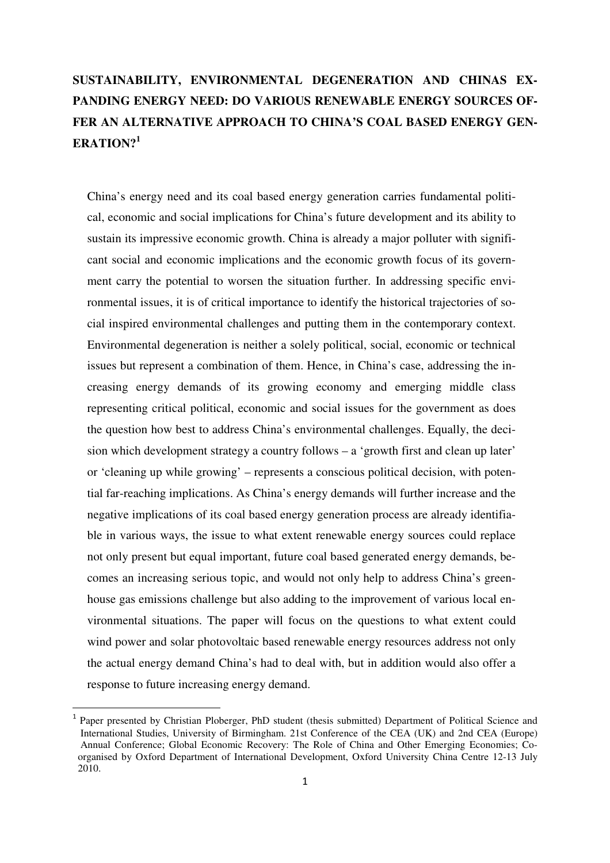# **SUSTAINABILITY, ENVIRONMENTAL DEGENERATION AND CHINAS EX-PANDING ENERGY NEED: DO VARIOUS RENEWABLE ENERGY SOURCES OF-FER AN ALTERNATIVE APPROACH TO CHINA'S COAL BASED ENERGY GEN-ERATION?<sup>1</sup>**

China's energy need and its coal based energy generation carries fundamental political, economic and social implications for China's future development and its ability to sustain its impressive economic growth. China is already a major polluter with significant social and economic implications and the economic growth focus of its government carry the potential to worsen the situation further. In addressing specific environmental issues, it is of critical importance to identify the historical trajectories of social inspired environmental challenges and putting them in the contemporary context. Environmental degeneration is neither a solely political, social, economic or technical issues but represent a combination of them. Hence, in China's case, addressing the increasing energy demands of its growing economy and emerging middle class representing critical political, economic and social issues for the government as does the question how best to address China's environmental challenges. Equally, the decision which development strategy a country follows – a 'growth first and clean up later' or 'cleaning up while growing' – represents a conscious political decision, with potential far-reaching implications. As China's energy demands will further increase and the negative implications of its coal based energy generation process are already identifiable in various ways, the issue to what extent renewable energy sources could replace not only present but equal important, future coal based generated energy demands, becomes an increasing serious topic, and would not only help to address China's greenhouse gas emissions challenge but also adding to the improvement of various local environmental situations. The paper will focus on the questions to what extent could wind power and solar photovoltaic based renewable energy resources address not only the actual energy demand China's had to deal with, but in addition would also offer a response to future increasing energy demand.

<sup>1</sup> Paper presented by Christian Ploberger, PhD student (thesis submitted) Department of Political Science and International Studies, University of Birmingham. 21st Conference of the CEA (UK) and 2nd CEA (Europe) Annual Conference; Global Economic Recovery: The Role of China and Other Emerging Economies; Co organised by Oxford Department of International Development, Oxford University China Centre 12-13 July 2010.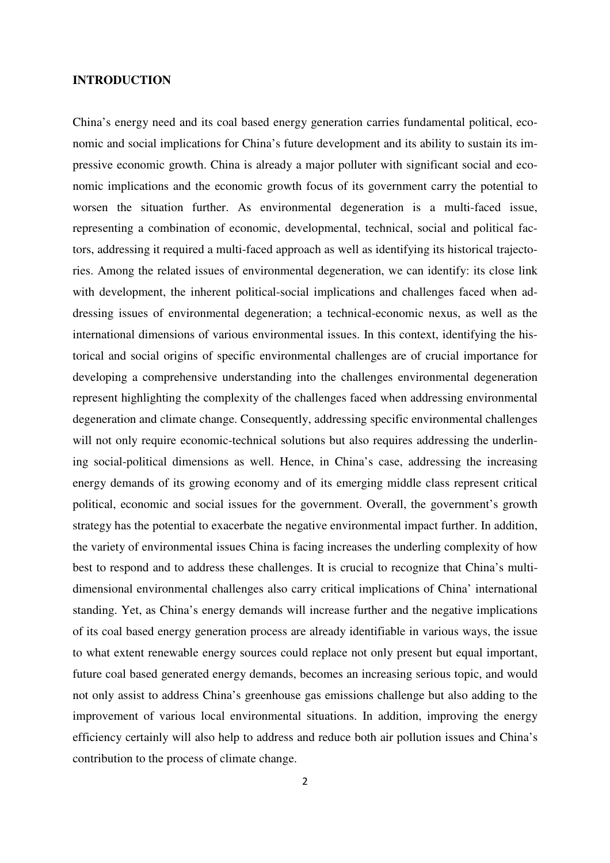#### **INTRODUCTION**

China's energy need and its coal based energy generation carries fundamental political, economic and social implications for China's future development and its ability to sustain its impressive economic growth. China is already a major polluter with significant social and economic implications and the economic growth focus of its government carry the potential to worsen the situation further. As environmental degeneration is a multi-faced issue, representing a combination of economic, developmental, technical, social and political factors, addressing it required a multi-faced approach as well as identifying its historical trajectories. Among the related issues of environmental degeneration, we can identify: its close link with development, the inherent political-social implications and challenges faced when addressing issues of environmental degeneration; a technical-economic nexus, as well as the international dimensions of various environmental issues. In this context, identifying the historical and social origins of specific environmental challenges are of crucial importance for developing a comprehensive understanding into the challenges environmental degeneration represent highlighting the complexity of the challenges faced when addressing environmental degeneration and climate change. Consequently, addressing specific environmental challenges will not only require economic-technical solutions but also requires addressing the underlining social-political dimensions as well. Hence, in China's case, addressing the increasing energy demands of its growing economy and of its emerging middle class represent critical political, economic and social issues for the government. Overall, the government's growth strategy has the potential to exacerbate the negative environmental impact further. In addition, the variety of environmental issues China is facing increases the underling complexity of how best to respond and to address these challenges. It is crucial to recognize that China's multidimensional environmental challenges also carry critical implications of China' international standing. Yet, as China's energy demands will increase further and the negative implications of its coal based energy generation process are already identifiable in various ways, the issue to what extent renewable energy sources could replace not only present but equal important, future coal based generated energy demands, becomes an increasing serious topic, and would not only assist to address China's greenhouse gas emissions challenge but also adding to the improvement of various local environmental situations. In addition, improving the energy efficiency certainly will also help to address and reduce both air pollution issues and China's contribution to the process of climate change.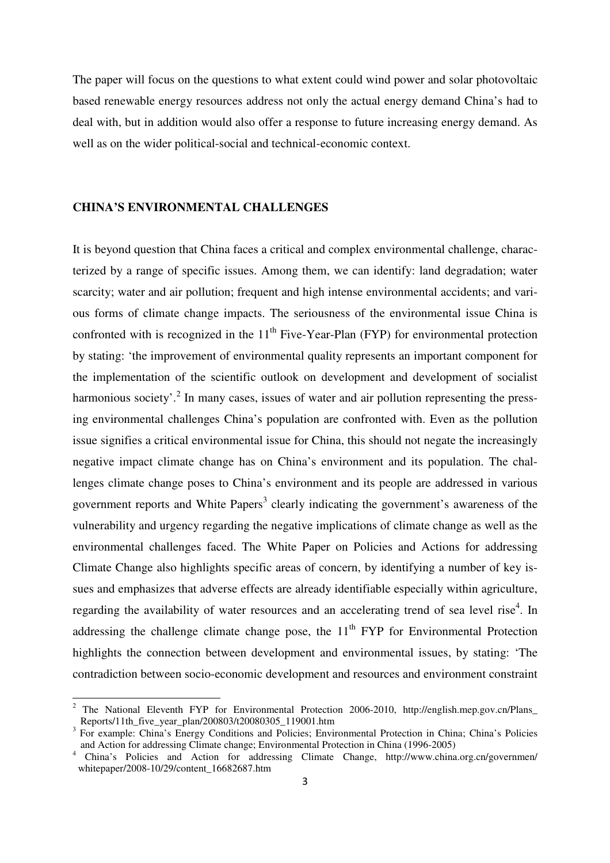The paper will focus on the questions to what extent could wind power and solar photovoltaic based renewable energy resources address not only the actual energy demand China's had to deal with, but in addition would also offer a response to future increasing energy demand. As well as on the wider political-social and technical-economic context.

#### **CHINA'S ENVIRONMENTAL CHALLENGES**

l

It is beyond question that China faces a critical and complex environmental challenge, characterized by a range of specific issues. Among them, we can identify: land degradation; water scarcity; water and air pollution; frequent and high intense environmental accidents; and various forms of climate change impacts. The seriousness of the environmental issue China is confronted with is recognized in the  $11<sup>th</sup>$  Five-Year-Plan (FYP) for environmental protection by stating: 'the improvement of environmental quality represents an important component for the implementation of the scientific outlook on development and development of socialist harmonious society'.<sup>2</sup> In many cases, issues of water and air pollution representing the pressing environmental challenges China's population are confronted with. Even as the pollution issue signifies a critical environmental issue for China, this should not negate the increasingly negative impact climate change has on China's environment and its population. The challenges climate change poses to China's environment and its people are addressed in various government reports and White Papers<sup>3</sup> clearly indicating the government's awareness of the vulnerability and urgency regarding the negative implications of climate change as well as the environmental challenges faced. The White Paper on Policies and Actions for addressing Climate Change also highlights specific areas of concern, by identifying a number of key issues and emphasizes that adverse effects are already identifiable especially within agriculture, regarding the availability of water resources and an accelerating trend of sea level rise<sup>4</sup>. In addressing the challenge climate change pose, the  $11<sup>th</sup> FYP$  for Environmental Protection highlights the connection between development and environmental issues, by stating: 'The contradiction between socio-economic development and resources and environment constraint

<sup>&</sup>lt;sup>2</sup> The National Eleventh FYP for Environmental Protection 2006-2010, http://english.mep.gov.cn/Plans\_ Reports/11th\_five\_year\_plan/200803/t20080305\_119001.htm

<sup>&</sup>lt;sup>3</sup> For example: China's Energy Conditions and Policies; Environmental Protection in China; China's Policies and Action for addressing Climate change; Environmental Protection in China (1996-2005)

<sup>4</sup> China's Policies and Action for addressing Climate Change, http://www.china.org.cn/governmen/ whitepaper/2008-10/29/content\_16682687.htm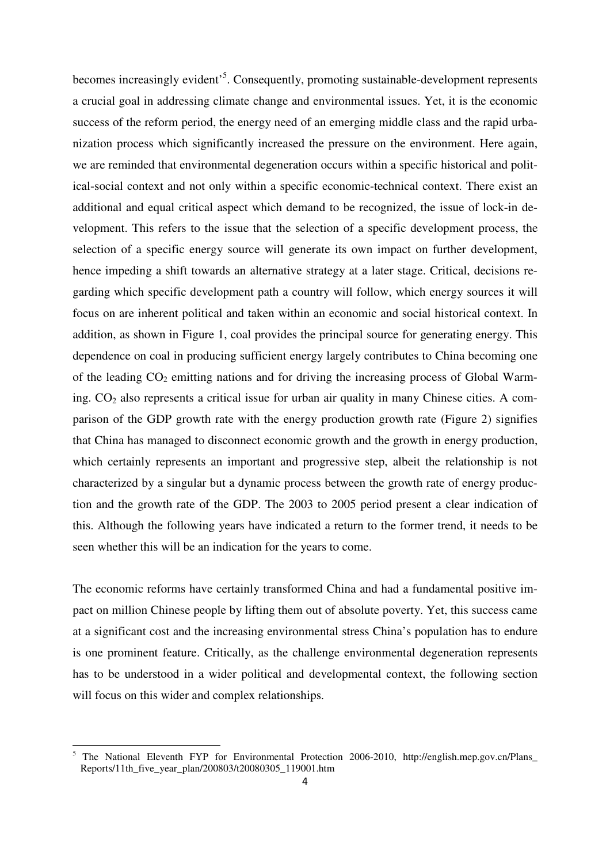becomes increasingly evident<sup>5</sup>. Consequently, promoting sustainable-development represents a crucial goal in addressing climate change and environmental issues. Yet, it is the economic success of the reform period, the energy need of an emerging middle class and the rapid urbanization process which significantly increased the pressure on the environment. Here again, we are reminded that environmental degeneration occurs within a specific historical and political-social context and not only within a specific economic-technical context. There exist an additional and equal critical aspect which demand to be recognized, the issue of lock-in development. This refers to the issue that the selection of a specific development process, the selection of a specific energy source will generate its own impact on further development, hence impeding a shift towards an alternative strategy at a later stage. Critical, decisions regarding which specific development path a country will follow, which energy sources it will focus on are inherent political and taken within an economic and social historical context. In addition, as shown in Figure 1, coal provides the principal source for generating energy. This dependence on coal in producing sufficient energy largely contributes to China becoming one of the leading  $CO<sub>2</sub>$  emitting nations and for driving the increasing process of Global Warming.  $CO<sub>2</sub>$  also represents a critical issue for urban air quality in many Chinese cities. A comparison of the GDP growth rate with the energy production growth rate (Figure 2) signifies that China has managed to disconnect economic growth and the growth in energy production, which certainly represents an important and progressive step, albeit the relationship is not characterized by a singular but a dynamic process between the growth rate of energy production and the growth rate of the GDP. The 2003 to 2005 period present a clear indication of this. Although the following years have indicated a return to the former trend, it needs to be seen whether this will be an indication for the years to come.

The economic reforms have certainly transformed China and had a fundamental positive impact on million Chinese people by lifting them out of absolute poverty. Yet, this success came at a significant cost and the increasing environmental stress China's population has to endure is one prominent feature. Critically, as the challenge environmental degeneration represents has to be understood in a wider political and developmental context, the following section will focus on this wider and complex relationships.

<sup>5</sup> The National Eleventh FYP for Environmental Protection 2006-2010, http://english.mep.gov.cn/Plans\_ Reports/11th\_five\_year\_plan/200803/t20080305\_119001.htm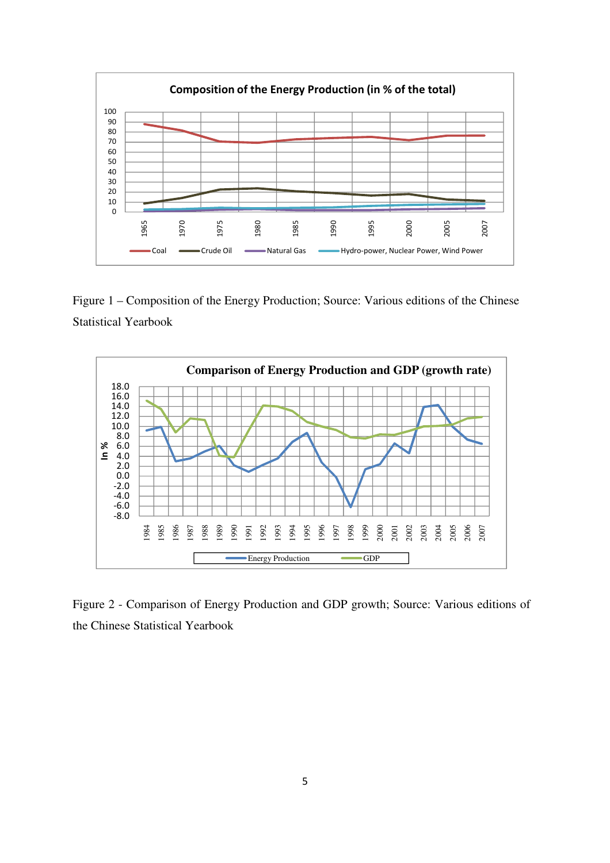

Figure 1 – Composition of the Energy Production; Source: Various editions of the Chinese Statistical Yearbook



Figure 2 - Comparison of Energy Production and GDP growth; Source: Various editions of the Chinese Statistical Yearbook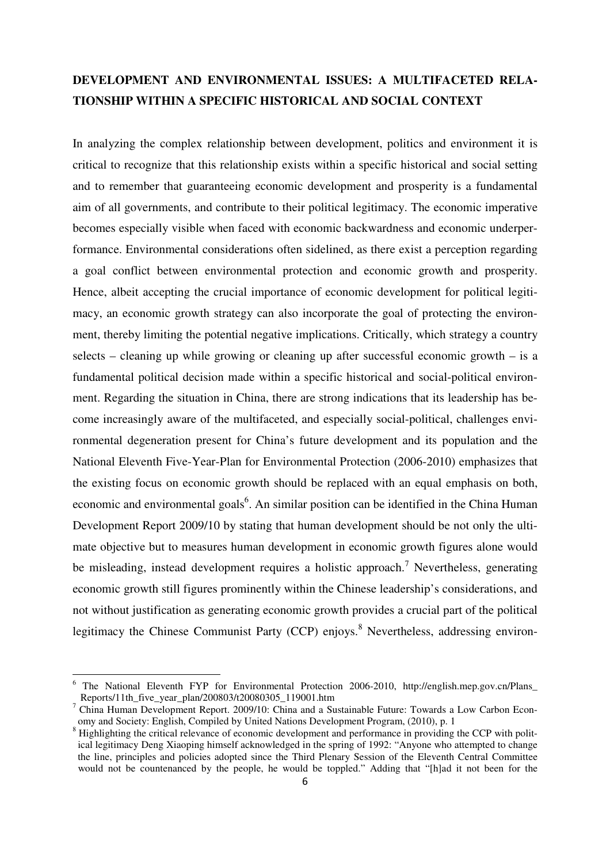### **DEVELOPMENT AND ENVIRONMENTAL ISSUES: A MULTIFACETED RELA-TIONSHIP WITHIN A SPECIFIC HISTORICAL AND SOCIAL CONTEXT**

In analyzing the complex relationship between development, politics and environment it is critical to recognize that this relationship exists within a specific historical and social setting and to remember that guaranteeing economic development and prosperity is a fundamental aim of all governments, and contribute to their political legitimacy. The economic imperative becomes especially visible when faced with economic backwardness and economic underperformance. Environmental considerations often sidelined, as there exist a perception regarding a goal conflict between environmental protection and economic growth and prosperity. Hence, albeit accepting the crucial importance of economic development for political legitimacy, an economic growth strategy can also incorporate the goal of protecting the environment, thereby limiting the potential negative implications. Critically, which strategy a country selects – cleaning up while growing or cleaning up after successful economic growth – is a fundamental political decision made within a specific historical and social-political environment. Regarding the situation in China, there are strong indications that its leadership has become increasingly aware of the multifaceted, and especially social-political, challenges environmental degeneration present for China's future development and its population and the National Eleventh Five-Year-Plan for Environmental Protection (2006-2010) emphasizes that the existing focus on economic growth should be replaced with an equal emphasis on both, economic and environmental goals<sup>6</sup>. An similar position can be identified in the China Human Development Report 2009/10 by stating that human development should be not only the ultimate objective but to measures human development in economic growth figures alone would be misleading, instead development requires a holistic approach.<sup>7</sup> Nevertheless, generating economic growth still figures prominently within the Chinese leadership's considerations, and not without justification as generating economic growth provides a crucial part of the political legitimacy the Chinese Communist Party (CCP) enjoys.<sup>8</sup> Nevertheless, addressing environ-

<sup>&</sup>lt;sup>6</sup> The National Eleventh FYP for Environmental Protection 2006-2010, http://english.mep.gov.cn/Plans\_ Reports/11th\_five\_year\_plan/200803/t20080305\_119001.htm

<sup>&</sup>lt;sup>7</sup> China Human Development Report. 2009/10: China and a Sustainable Future: Towards a Low Carbon Economy and Society: English, Compiled by United Nations Development Program, (2010), p. 1

<sup>&</sup>lt;sup>8</sup> Highlighting the critical relevance of economic development and performance in providing the CCP with polit ical legitimacy Deng Xiaoping himself acknowledged in the spring of 1992: "Anyone who attempted to change the line, principles and policies adopted since the Third Plenary Session of the Eleventh Central Committee would not be countenanced by the people, he would be toppled." Adding that "[h]ad it not been for the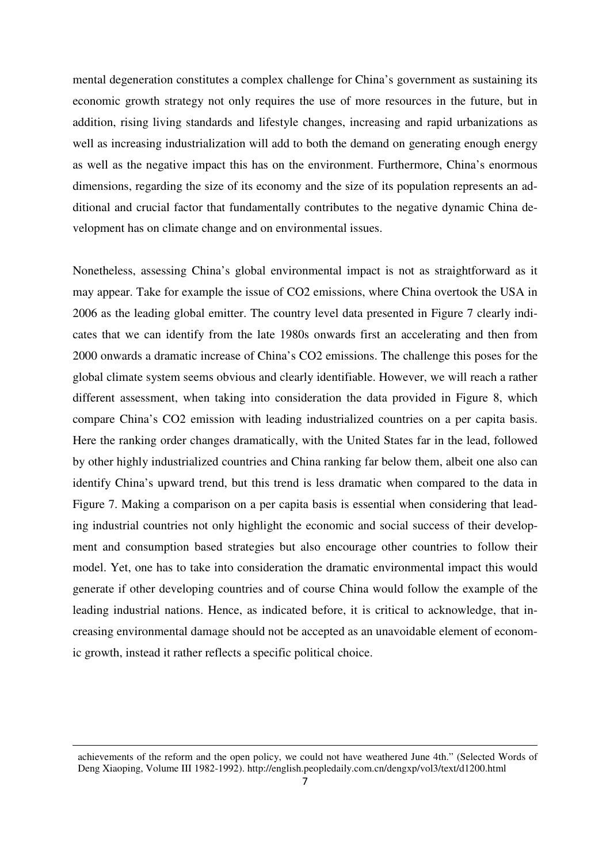mental degeneration constitutes a complex challenge for China's government as sustaining its economic growth strategy not only requires the use of more resources in the future, but in addition, rising living standards and lifestyle changes, increasing and rapid urbanizations as well as increasing industrialization will add to both the demand on generating enough energy as well as the negative impact this has on the environment. Furthermore, China's enormous dimensions, regarding the size of its economy and the size of its population represents an additional and crucial factor that fundamentally contributes to the negative dynamic China development has on climate change and on environmental issues.

Nonetheless, assessing China's global environmental impact is not as straightforward as it may appear. Take for example the issue of CO2 emissions, where China overtook the USA in 2006 as the leading global emitter. The country level data presented in Figure 7 clearly indicates that we can identify from the late 1980s onwards first an accelerating and then from 2000 onwards a dramatic increase of China's CO2 emissions. The challenge this poses for the global climate system seems obvious and clearly identifiable. However, we will reach a rather different assessment, when taking into consideration the data provided in Figure 8, which compare China's CO2 emission with leading industrialized countries on a per capita basis. Here the ranking order changes dramatically, with the United States far in the lead, followed by other highly industrialized countries and China ranking far below them, albeit one also can identify China's upward trend, but this trend is less dramatic when compared to the data in Figure 7. Making a comparison on a per capita basis is essential when considering that leading industrial countries not only highlight the economic and social success of their development and consumption based strategies but also encourage other countries to follow their model. Yet, one has to take into consideration the dramatic environmental impact this would generate if other developing countries and of course China would follow the example of the leading industrial nations. Hence, as indicated before, it is critical to acknowledge, that increasing environmental damage should not be accepted as an unavoidable element of economic growth, instead it rather reflects a specific political choice.

achievements of the reform and the open policy, we could not have weathered June 4th." (Selected Words of Deng Xiaoping, Volume III 1982-1992). http://english.peopledaily.com.cn/dengxp/vol3/text/d1200.html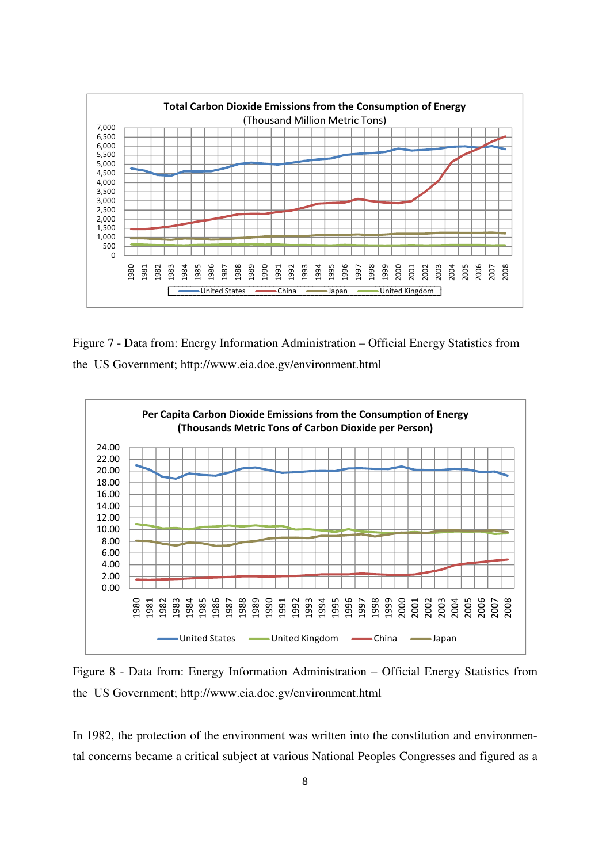

Figure 7 - Data from: Energy Information Administration – Official Energy Statistics from the US Government; http://www.eia.doe.gv/environment.html



Figure 8 - Data from: Energy Information Administration – Official Energy Statistics from the US Government; http://www.eia.doe.gv/environment.html

In 1982, the protection of the environment was written into the constitution and environmental concerns became a critical subject at various National Peoples Congresses and figured as a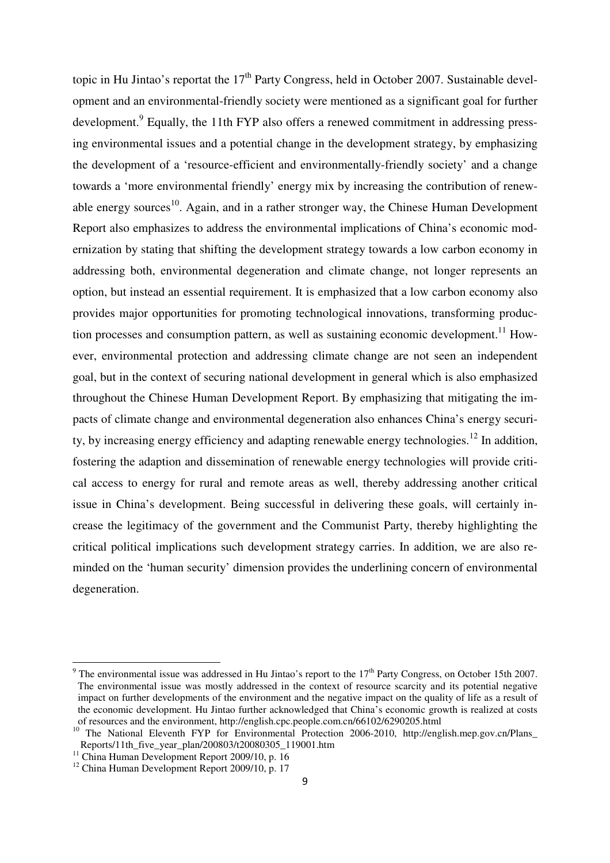topic in Hu Jintao's reportat the  $17<sup>th</sup>$  Party Congress, held in October 2007. Sustainable development and an environmental-friendly society were mentioned as a significant goal for further development.<sup>9</sup> Equally, the 11th FYP also offers a renewed commitment in addressing pressing environmental issues and a potential change in the development strategy, by emphasizing the development of a 'resource-efficient and environmentally-friendly society' and a change towards a 'more environmental friendly' energy mix by increasing the contribution of renewable energy sources<sup>10</sup>. Again, and in a rather stronger way, the Chinese Human Development Report also emphasizes to address the environmental implications of China's economic modernization by stating that shifting the development strategy towards a low carbon economy in addressing both, environmental degeneration and climate change, not longer represents an option, but instead an essential requirement. It is emphasized that a low carbon economy also provides major opportunities for promoting technological innovations, transforming production processes and consumption pattern, as well as sustaining economic development.<sup>11</sup> However, environmental protection and addressing climate change are not seen an independent goal, but in the context of securing national development in general which is also emphasized throughout the Chinese Human Development Report. By emphasizing that mitigating the impacts of climate change and environmental degeneration also enhances China's energy security, by increasing energy efficiency and adapting renewable energy technologies.<sup>12</sup> In addition, fostering the adaption and dissemination of renewable energy technologies will provide critical access to energy for rural and remote areas as well, thereby addressing another critical issue in China's development. Being successful in delivering these goals, will certainly increase the legitimacy of the government and the Communist Party, thereby highlighting the critical political implications such development strategy carries. In addition, we are also reminded on the 'human security' dimension provides the underlining concern of environmental degeneration.

<sup>&</sup>lt;sup>9</sup> The environmental issue was addressed in Hu Jintao's report to the  $17<sup>th</sup>$  Party Congress, on October 15th 2007. The environmental issue was mostly addressed in the context of resource scarcity and its potential negative impact on further developments of the environment and the negative impact on the quality of life as a result of the economic development. Hu Jintao further acknowledged that China's economic growth is realized at costs of resources and the environment, http://english.cpc.people.com.cn/66102/6290205.html

<sup>&</sup>lt;sup>10</sup> The National Eleventh FYP for Environmental Protection 2006-2010, http://english.mep.gov.cn/Plans\_ Reports/11th\_five\_year\_plan/200803/t20080305\_119001.htm

 $11$  China Human Development Report 2009/10, p. 16

 $12$  China Human Development Report 2009/10, p. 17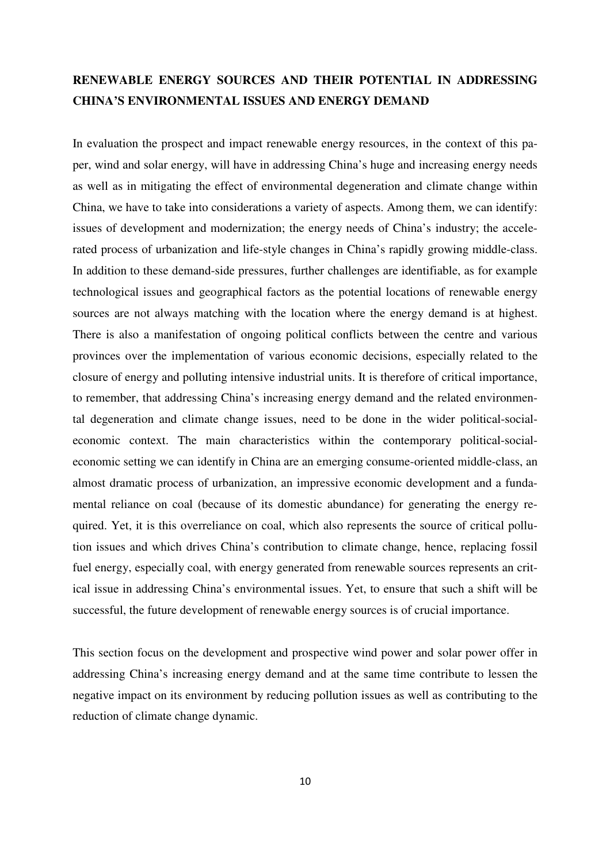## **RENEWABLE ENERGY SOURCES AND THEIR POTENTIAL IN ADDRESSING CHINA'S ENVIRONMENTAL ISSUES AND ENERGY DEMAND**

In evaluation the prospect and impact renewable energy resources, in the context of this paper, wind and solar energy, will have in addressing China's huge and increasing energy needs as well as in mitigating the effect of environmental degeneration and climate change within China, we have to take into considerations a variety of aspects. Among them, we can identify: issues of development and modernization; the energy needs of China's industry; the accelerated process of urbanization and life-style changes in China's rapidly growing middle-class. In addition to these demand-side pressures, further challenges are identifiable, as for example technological issues and geographical factors as the potential locations of renewable energy sources are not always matching with the location where the energy demand is at highest. There is also a manifestation of ongoing political conflicts between the centre and various provinces over the implementation of various economic decisions, especially related to the closure of energy and polluting intensive industrial units. It is therefore of critical importance, to remember, that addressing China's increasing energy demand and the related environmental degeneration and climate change issues, need to be done in the wider political-socialeconomic context. The main characteristics within the contemporary political-socialeconomic setting we can identify in China are an emerging consume-oriented middle-class, an almost dramatic process of urbanization, an impressive economic development and a fundamental reliance on coal (because of its domestic abundance) for generating the energy required. Yet, it is this overreliance on coal, which also represents the source of critical pollution issues and which drives China's contribution to climate change, hence, replacing fossil fuel energy, especially coal, with energy generated from renewable sources represents an critical issue in addressing China's environmental issues. Yet, to ensure that such a shift will be successful, the future development of renewable energy sources is of crucial importance.

This section focus on the development and prospective wind power and solar power offer in addressing China's increasing energy demand and at the same time contribute to lessen the negative impact on its environment by reducing pollution issues as well as contributing to the reduction of climate change dynamic.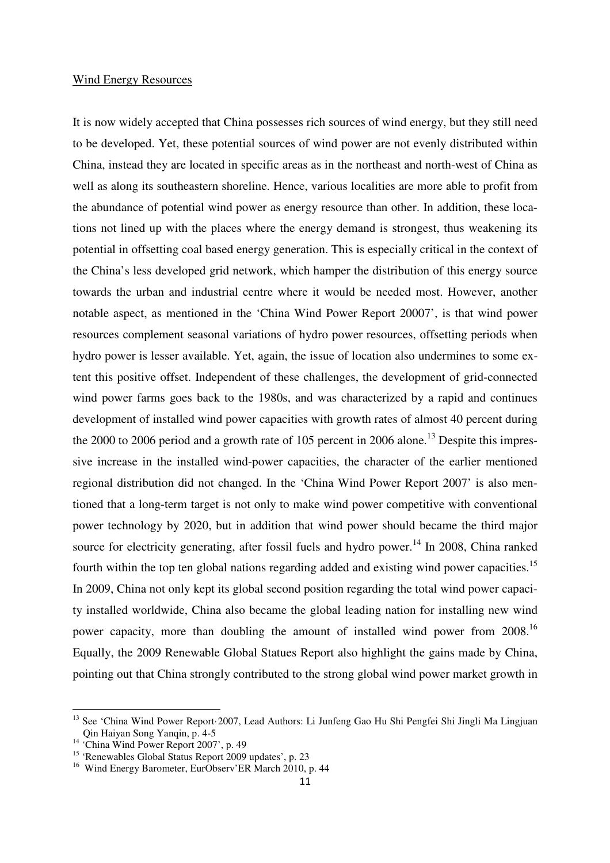#### Wind Energy Resources

It is now widely accepted that China possesses rich sources of wind energy, but they still need to be developed. Yet, these potential sources of wind power are not evenly distributed within China, instead they are located in specific areas as in the northeast and north-west of China as well as along its southeastern shoreline. Hence, various localities are more able to profit from the abundance of potential wind power as energy resource than other. In addition, these locations not lined up with the places where the energy demand is strongest, thus weakening its potential in offsetting coal based energy generation. This is especially critical in the context of the China's less developed grid network, which hamper the distribution of this energy source towards the urban and industrial centre where it would be needed most. However, another notable aspect, as mentioned in the 'China Wind Power Report 20007', is that wind power resources complement seasonal variations of hydro power resources, offsetting periods when hydro power is lesser available. Yet, again, the issue of location also undermines to some extent this positive offset. Independent of these challenges, the development of grid-connected wind power farms goes back to the 1980s, and was characterized by a rapid and continues development of installed wind power capacities with growth rates of almost 40 percent during the 2000 to 2006 period and a growth rate of 105 percent in 2006 alone.<sup>13</sup> Despite this impressive increase in the installed wind-power capacities, the character of the earlier mentioned regional distribution did not changed. In the 'China Wind Power Report 2007' is also mentioned that a long-term target is not only to make wind power competitive with conventional power technology by 2020, but in addition that wind power should became the third major source for electricity generating, after fossil fuels and hydro power.<sup>14</sup> In 2008, China ranked fourth within the top ten global nations regarding added and existing wind power capacities.<sup>15</sup> In 2009, China not only kept its global second position regarding the total wind power capacity installed worldwide, China also became the global leading nation for installing new wind power capacity, more than doubling the amount of installed wind power from 2008.<sup>16</sup> Equally, the 2009 Renewable Global Statues Report also highlight the gains made by China, pointing out that China strongly contributed to the strong global wind power market growth in

<sup>&</sup>lt;sup>13</sup> See 'China Wind Power Report·2007, Lead Authors: Li Junfeng Gao Hu Shi Pengfei Shi Jingli Ma Lingjuan Qin Haiyan Song Yanqin, p. 4-5

<sup>&</sup>lt;sup>14</sup> 'China Wind Power Report 2007', p. 49

<sup>15</sup> 'Renewables Global Status Report 2009 updates', p. 23

<sup>&</sup>lt;sup>16</sup> Wind Energy Barometer, EurObserv'ER March 2010, p. 44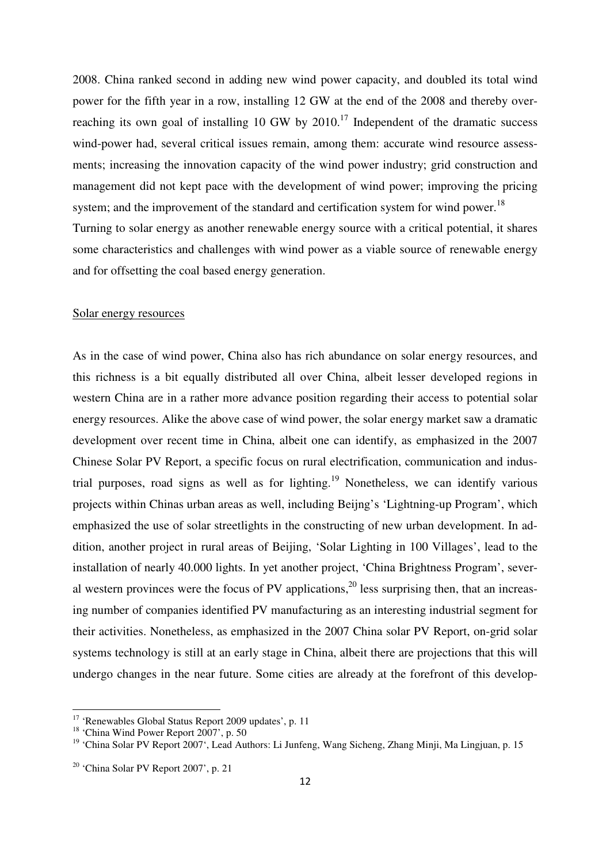2008. China ranked second in adding new wind power capacity, and doubled its total wind power for the fifth year in a row, installing 12 GW at the end of the 2008 and thereby overreaching its own goal of installing 10 GW by  $2010$ .<sup>17</sup> Independent of the dramatic success wind-power had, several critical issues remain, among them: accurate wind resource assessments; increasing the innovation capacity of the wind power industry; grid construction and management did not kept pace with the development of wind power; improving the pricing system; and the improvement of the standard and certification system for wind power.<sup>18</sup> Turning to solar energy as another renewable energy source with a critical potential, it shares some characteristics and challenges with wind power as a viable source of renewable energy and for offsetting the coal based energy generation.

#### Solar energy resources

As in the case of wind power, China also has rich abundance on solar energy resources, and this richness is a bit equally distributed all over China, albeit lesser developed regions in western China are in a rather more advance position regarding their access to potential solar energy resources. Alike the above case of wind power, the solar energy market saw a dramatic development over recent time in China, albeit one can identify, as emphasized in the 2007 Chinese Solar PV Report, a specific focus on rural electrification, communication and industrial purposes, road signs as well as for lighting.<sup>19</sup> Nonetheless, we can identify various projects within Chinas urban areas as well, including Beijng's 'Lightning-up Program', which emphasized the use of solar streetlights in the constructing of new urban development. In addition, another project in rural areas of Beijing, 'Solar Lighting in 100 Villages', lead to the installation of nearly 40.000 lights. In yet another project, 'China Brightness Program', several western provinces were the focus of PV applications,  $20$  less surprising then, that an increasing number of companies identified PV manufacturing as an interesting industrial segment for their activities. Nonetheless, as emphasized in the 2007 China solar PV Report, on-grid solar systems technology is still at an early stage in China, albeit there are projections that this will undergo changes in the near future. Some cities are already at the forefront of this develop-

<sup>&</sup>lt;sup>17</sup> 'Renewables Global Status Report 2009 updates', p. 11

<sup>&</sup>lt;sup>18</sup> 'China Wind Power Report 2007', p. 50

<sup>&</sup>lt;sup>19</sup> 'China Solar PV Report 2007', Lead Authors: Li Junfeng, Wang Sicheng, Zhang Minji, Ma Lingjuan, p. 15

 $20$  'China Solar PV Report 2007', p. 21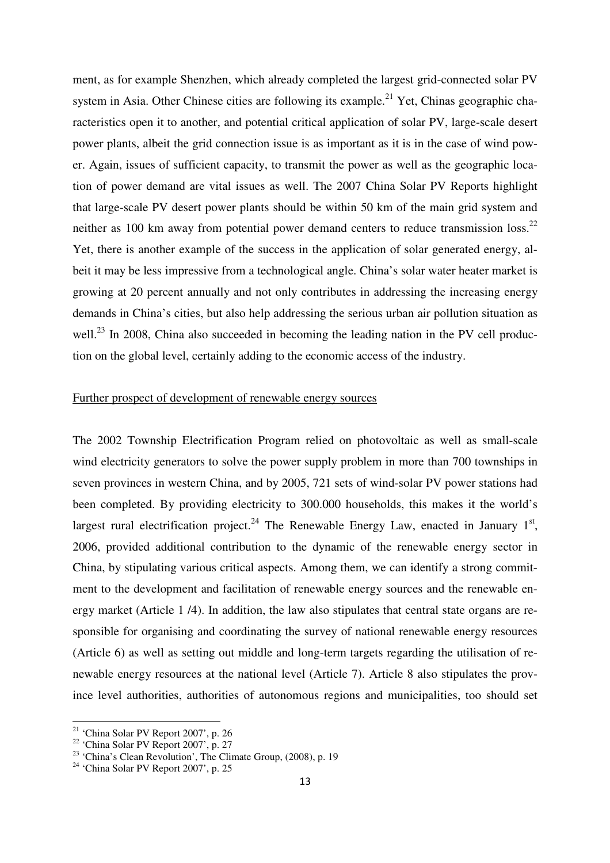ment, as for example Shenzhen, which already completed the largest grid-connected solar PV system in Asia. Other Chinese cities are following its example.<sup>21</sup> Yet, Chinas geographic characteristics open it to another, and potential critical application of solar PV, large-scale desert power plants, albeit the grid connection issue is as important as it is in the case of wind power. Again, issues of sufficient capacity, to transmit the power as well as the geographic location of power demand are vital issues as well. The 2007 China Solar PV Reports highlight that large-scale PV desert power plants should be within 50 km of the main grid system and neither as 100 km away from potential power demand centers to reduce transmission loss.<sup>22</sup> Yet, there is another example of the success in the application of solar generated energy, albeit it may be less impressive from a technological angle. China's solar water heater market is growing at 20 percent annually and not only contributes in addressing the increasing energy demands in China's cities, but also help addressing the serious urban air pollution situation as well.<sup>23</sup> In 2008, China also succeeded in becoming the leading nation in the PV cell production on the global level, certainly adding to the economic access of the industry.

### Further prospect of development of renewable energy sources

The 2002 Township Electrification Program relied on photovoltaic as well as small-scale wind electricity generators to solve the power supply problem in more than 700 townships in seven provinces in western China, and by 2005, 721 sets of wind-solar PV power stations had been completed. By providing electricity to 300.000 households, this makes it the world's largest rural electrification project.<sup>24</sup> The Renewable Energy Law, enacted in January  $1<sup>st</sup>$ , 2006, provided additional contribution to the dynamic of the renewable energy sector in China, by stipulating various critical aspects. Among them, we can identify a strong commitment to the development and facilitation of renewable energy sources and the renewable energy market (Article 1 /4). In addition, the law also stipulates that central state organs are responsible for organising and coordinating the survey of national renewable energy resources (Article 6) as well as setting out middle and long-term targets regarding the utilisation of renewable energy resources at the national level (Article 7). Article 8 also stipulates the province level authorities, authorities of autonomous regions and municipalities, too should set

<sup>21</sup> 'China Solar PV Report 2007', p. 26

<sup>22</sup> 'China Solar PV Report 2007', p. 27

<sup>&</sup>lt;sup>23</sup> 'China's Clean Revolution', The Climate Group, (2008), p. 19

 $24$  'China Solar PV Report 2007', p. 25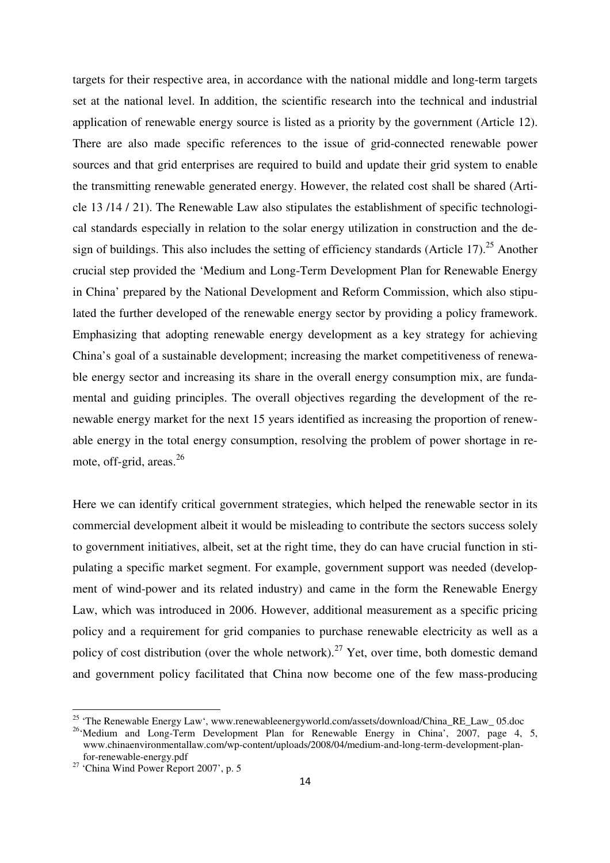targets for their respective area, in accordance with the national middle and long-term targets set at the national level. In addition, the scientific research into the technical and industrial application of renewable energy source is listed as a priority by the government (Article 12). There are also made specific references to the issue of grid-connected renewable power sources and that grid enterprises are required to build and update their grid system to enable the transmitting renewable generated energy. However, the related cost shall be shared (Article 13 /14 / 21). The Renewable Law also stipulates the establishment of specific technological standards especially in relation to the solar energy utilization in construction and the design of buildings. This also includes the setting of efficiency standards (Article 17).<sup>25</sup> Another crucial step provided the 'Medium and Long-Term Development Plan for Renewable Energy in China' prepared by the National Development and Reform Commission, which also stipulated the further developed of the renewable energy sector by providing a policy framework. Emphasizing that adopting renewable energy development as a key strategy for achieving China's goal of a sustainable development; increasing the market competitiveness of renewable energy sector and increasing its share in the overall energy consumption mix, are fundamental and guiding principles. The overall objectives regarding the development of the renewable energy market for the next 15 years identified as increasing the proportion of renewable energy in the total energy consumption, resolving the problem of power shortage in remote, off-grid, areas. $26$ 

Here we can identify critical government strategies, which helped the renewable sector in its commercial development albeit it would be misleading to contribute the sectors success solely to government initiatives, albeit, set at the right time, they do can have crucial function in stipulating a specific market segment. For example, government support was needed (development of wind-power and its related industry) and came in the form the Renewable Energy Law, which was introduced in 2006. However, additional measurement as a specific pricing policy and a requirement for grid companies to purchase renewable electricity as well as a policy of cost distribution (over the whole network).<sup>27</sup> Yet, over time, both domestic demand and government policy facilitated that China now become one of the few mass-producing

<sup>&</sup>lt;sup>25</sup> 'The Renewable Energy Law', www.renewableenergyworld.com/assets/download/China\_RE\_Law\_ 05.doc

<sup>&</sup>lt;sup>26</sup>'Medium and Long-Term Development Plan for Renewable Energy in China', 2007, page 4, 5, www.chinaenvironmentallaw.com/wp-content/uploads/2008/04/medium-and-long-term-development-plan for-renewable-energy.pdf

<sup>27</sup> 'China Wind Power Report 2007', p. 5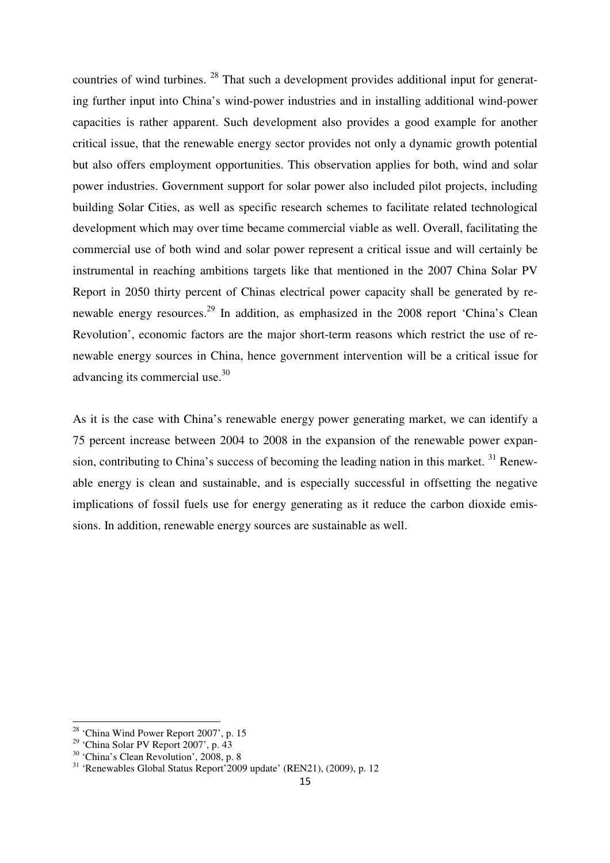countries of wind turbines. <sup>28</sup> That such a development provides additional input for generating further input into China's wind-power industries and in installing additional wind-power capacities is rather apparent. Such development also provides a good example for another critical issue, that the renewable energy sector provides not only a dynamic growth potential but also offers employment opportunities. This observation applies for both, wind and solar power industries. Government support for solar power also included pilot projects, including building Solar Cities, as well as specific research schemes to facilitate related technological development which may over time became commercial viable as well. Overall, facilitating the commercial use of both wind and solar power represent a critical issue and will certainly be instrumental in reaching ambitions targets like that mentioned in the 2007 China Solar PV Report in 2050 thirty percent of Chinas electrical power capacity shall be generated by renewable energy resources.<sup>29</sup> In addition, as emphasized in the 2008 report 'China's Clean Revolution', economic factors are the major short-term reasons which restrict the use of renewable energy sources in China, hence government intervention will be a critical issue for advancing its commercial use.<sup>30</sup>

As it is the case with China's renewable energy power generating market, we can identify a 75 percent increase between 2004 to 2008 in the expansion of the renewable power expansion, contributing to China's success of becoming the leading nation in this market.  $31$  Renewable energy is clean and sustainable, and is especially successful in offsetting the negative implications of fossil fuels use for energy generating as it reduce the carbon dioxide emissions. In addition, renewable energy sources are sustainable as well.

<sup>&</sup>lt;sup>28</sup> 'China Wind Power Report 2007', p. 15

<sup>29</sup> 'China Solar PV Report 2007', p. 43

<sup>30</sup> 'China's Clean Revolution', 2008, p. 8

<sup>31</sup> 'Renewables Global Status Report'2009 update' (REN21), (2009), p. 12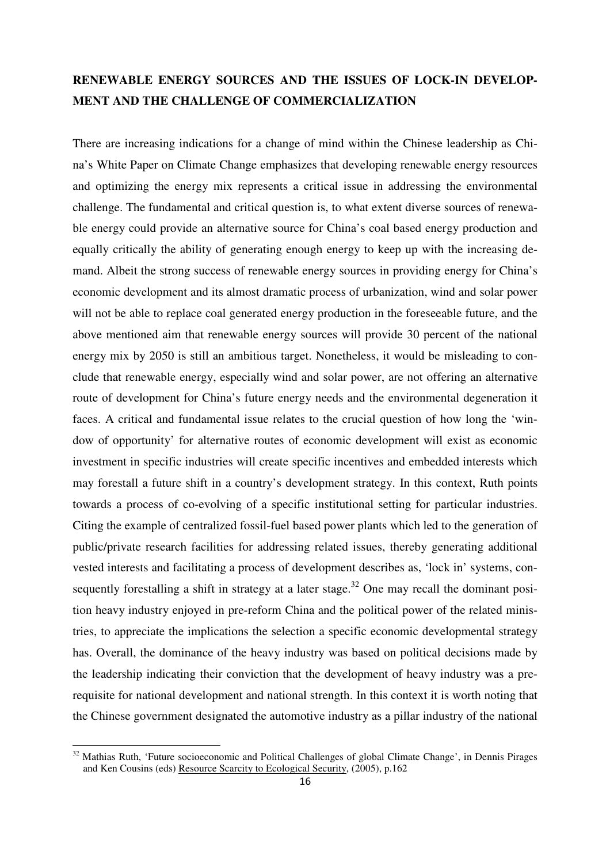### **RENEWABLE ENERGY SOURCES AND THE ISSUES OF LOCK-IN DEVELOP-MENT AND THE CHALLENGE OF COMMERCIALIZATION**

There are increasing indications for a change of mind within the Chinese leadership as China's White Paper on Climate Change emphasizes that developing renewable energy resources and optimizing the energy mix represents a critical issue in addressing the environmental challenge. The fundamental and critical question is, to what extent diverse sources of renewable energy could provide an alternative source for China's coal based energy production and equally critically the ability of generating enough energy to keep up with the increasing demand. Albeit the strong success of renewable energy sources in providing energy for China's economic development and its almost dramatic process of urbanization, wind and solar power will not be able to replace coal generated energy production in the foreseeable future, and the above mentioned aim that renewable energy sources will provide 30 percent of the national energy mix by 2050 is still an ambitious target. Nonetheless, it would be misleading to conclude that renewable energy, especially wind and solar power, are not offering an alternative route of development for China's future energy needs and the environmental degeneration it faces. A critical and fundamental issue relates to the crucial question of how long the 'window of opportunity' for alternative routes of economic development will exist as economic investment in specific industries will create specific incentives and embedded interests which may forestall a future shift in a country's development strategy. In this context, Ruth points towards a process of co-evolving of a specific institutional setting for particular industries. Citing the example of centralized fossil-fuel based power plants which led to the generation of public/private research facilities for addressing related issues, thereby generating additional vested interests and facilitating a process of development describes as, 'lock in' systems, consequently forestalling a shift in strategy at a later stage.<sup>32</sup> One may recall the dominant position heavy industry enjoyed in pre-reform China and the political power of the related ministries, to appreciate the implications the selection a specific economic developmental strategy has. Overall, the dominance of the heavy industry was based on political decisions made by the leadership indicating their conviction that the development of heavy industry was a prerequisite for national development and national strength. In this context it is worth noting that the Chinese government designated the automotive industry as a pillar industry of the national

<sup>&</sup>lt;sup>32</sup> Mathias Ruth. 'Future socioeconomic and Political Challenges of global Climate Change', in Dennis Pirages and Ken Cousins (eds) Resource Scarcity to Ecological Security, (2005), p.162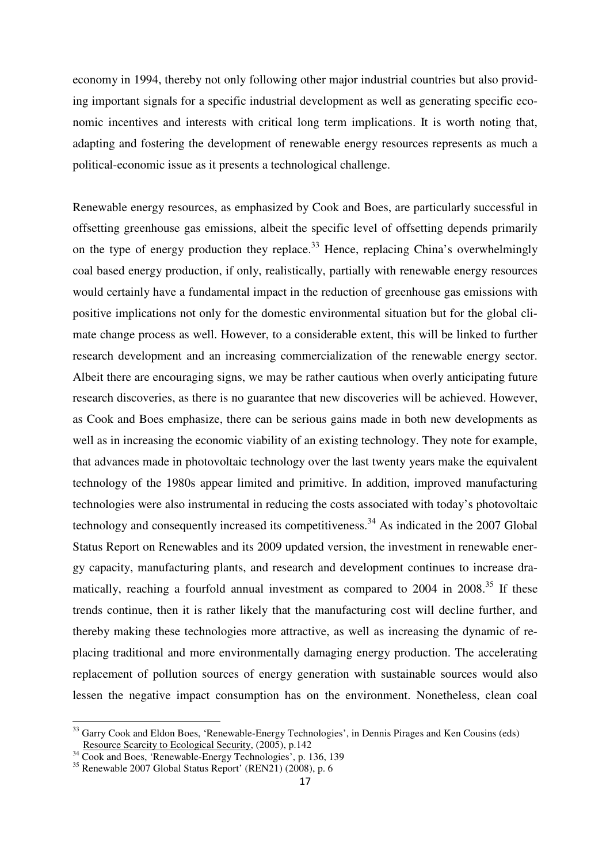economy in 1994, thereby not only following other major industrial countries but also providing important signals for a specific industrial development as well as generating specific economic incentives and interests with critical long term implications. It is worth noting that, adapting and fostering the development of renewable energy resources represents as much a political-economic issue as it presents a technological challenge.

Renewable energy resources, as emphasized by Cook and Boes, are particularly successful in offsetting greenhouse gas emissions, albeit the specific level of offsetting depends primarily on the type of energy production they replace.<sup>33</sup> Hence, replacing China's overwhelmingly coal based energy production, if only, realistically, partially with renewable energy resources would certainly have a fundamental impact in the reduction of greenhouse gas emissions with positive implications not only for the domestic environmental situation but for the global climate change process as well. However, to a considerable extent, this will be linked to further research development and an increasing commercialization of the renewable energy sector. Albeit there are encouraging signs, we may be rather cautious when overly anticipating future research discoveries, as there is no guarantee that new discoveries will be achieved. However, as Cook and Boes emphasize, there can be serious gains made in both new developments as well as in increasing the economic viability of an existing technology. They note for example, that advances made in photovoltaic technology over the last twenty years make the equivalent technology of the 1980s appear limited and primitive. In addition, improved manufacturing technologies were also instrumental in reducing the costs associated with today's photovoltaic technology and consequently increased its competitiveness.<sup>34</sup> As indicated in the 2007 Global Status Report on Renewables and its 2009 updated version, the investment in renewable energy capacity, manufacturing plants, and research and development continues to increase dramatically, reaching a fourfold annual investment as compared to  $2004$  in  $2008$ .<sup>35</sup> If these trends continue, then it is rather likely that the manufacturing cost will decline further, and thereby making these technologies more attractive, as well as increasing the dynamic of replacing traditional and more environmentally damaging energy production. The accelerating replacement of pollution sources of energy generation with sustainable sources would also lessen the negative impact consumption has on the environment. Nonetheless, clean coal

<sup>&</sup>lt;sup>33</sup> Garry Cook and Eldon Boes, 'Renewable-Energy Technologies', in Dennis Pirages and Ken Cousins (eds) Resource Scarcity to Ecological Security, (2005), p.142

<sup>&</sup>lt;sup>34</sup> Cook and Boes, 'Renewable-Energy Technologies', p. 136, 139

 $35$  Renewable 2007 Global Status Report' (REN21) (2008), p. 6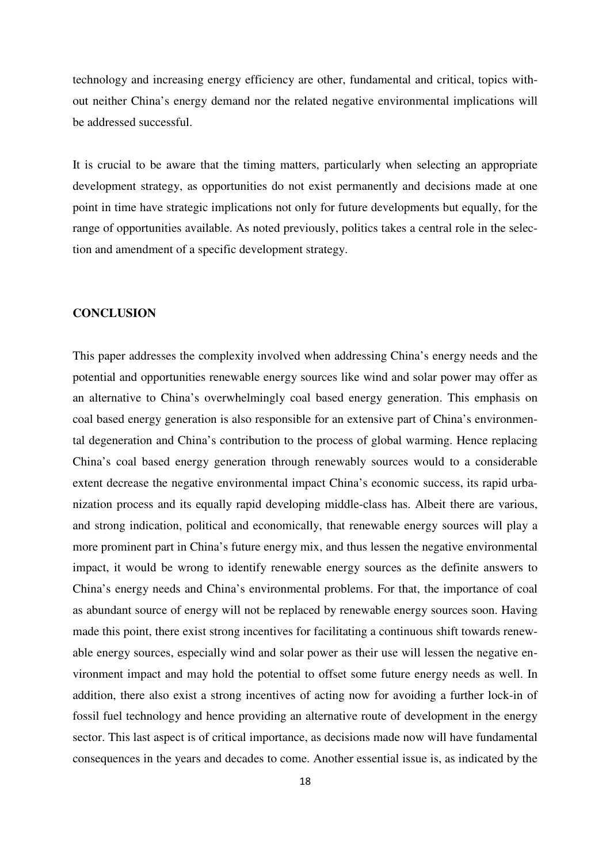technology and increasing energy efficiency are other, fundamental and critical, topics without neither China's energy demand nor the related negative environmental implications will be addressed successful.

It is crucial to be aware that the timing matters, particularly when selecting an appropriate development strategy, as opportunities do not exist permanently and decisions made at one point in time have strategic implications not only for future developments but equally, for the range of opportunities available. As noted previously, politics takes a central role in the selection and amendment of a specific development strategy.

#### **CONCLUSION**

This paper addresses the complexity involved when addressing China's energy needs and the potential and opportunities renewable energy sources like wind and solar power may offer as an alternative to China's overwhelmingly coal based energy generation. This emphasis on coal based energy generation is also responsible for an extensive part of China's environmental degeneration and China's contribution to the process of global warming. Hence replacing China's coal based energy generation through renewably sources would to a considerable extent decrease the negative environmental impact China's economic success, its rapid urbanization process and its equally rapid developing middle-class has. Albeit there are various, and strong indication, political and economically, that renewable energy sources will play a more prominent part in China's future energy mix, and thus lessen the negative environmental impact, it would be wrong to identify renewable energy sources as the definite answers to China's energy needs and China's environmental problems. For that, the importance of coal as abundant source of energy will not be replaced by renewable energy sources soon. Having made this point, there exist strong incentives for facilitating a continuous shift towards renewable energy sources, especially wind and solar power as their use will lessen the negative environment impact and may hold the potential to offset some future energy needs as well. In addition, there also exist a strong incentives of acting now for avoiding a further lock-in of fossil fuel technology and hence providing an alternative route of development in the energy sector. This last aspect is of critical importance, as decisions made now will have fundamental consequences in the years and decades to come. Another essential issue is, as indicated by the